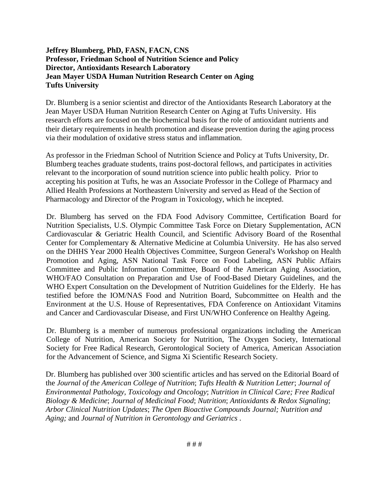#### **Jeffrey Blumberg, PhD, FASN, FACN, CNS Professor, Friedman School of Nutrition Science and Policy Director, Antioxidants Research Laboratory Jean Mayer USDA Human Nutrition Research Center on Aging Tufts University**

Dr. Blumberg is a senior scientist and director of the Antioxidants Research Laboratory at the Jean Mayer USDA Human Nutrition Research Center on Aging at Tufts University. His research efforts are focused on the biochemical basis for the role of antioxidant nutrients and their dietary requirements in health promotion and disease prevention during the aging process via their modulation of oxidative stress status and inflammation.

As professor in the Friedman School of Nutrition Science and Policy at Tufts University, Dr. Blumberg teaches graduate students, trains post-doctoral fellows, and participates in activities relevant to the incorporation of sound nutrition science into public health policy. Prior to accepting his position at Tufts, he was an Associate Professor in the College of Pharmacy and Allied Health Professions at Northeastern University and served as Head of the Section of Pharmacology and Director of the Program in Toxicology, which he incepted.

Dr. Blumberg has served on the FDA Food Advisory Committee, Certification Board for Nutrition Specialists, U.S. Olympic Committee Task Force on Dietary Supplementation, ACN Cardiovascular & Geriatric Health Council, and Scientific Advisory Board of the Rosenthal Center for Complementary & Alternative Medicine at Columbia University. He has also served on the DHHS Year 2000 Health Objectives Committee, Surgeon General's Workshop on Health Promotion and Aging, ASN National Task Force on Food Labeling, ASN Public Affairs Committee and Public Information Committee, Board of the American Aging Association, WHO/FAO Consultation on Preparation and Use of Food-Based Dietary Guidelines, and the WHO Expert Consultation on the Development of Nutrition Guidelines for the Elderly. He has testified before the IOM/NAS Food and Nutrition Board, Subcommittee on Health and the Environment at the U.S. House of Representatives, FDA Conference on Antioxidant Vitamins and Cancer and Cardiovascular Disease, and First UN/WHO Conference on Healthy Ageing.

Dr. Blumberg is a member of numerous professional organizations including the American College of Nutrition, American Society for Nutrition, The Oxygen Society, International Society for Free Radical Research, Gerontological Society of America, American Association for the Advancement of Science, and Sigma Xi Scientific Research Society.

Dr. Blumberg has published over 300 scientific articles and has served on the Editorial Board of the *Journal of the American College of Nutrition*; *Tufts Health & Nutrition Letter*; *Journal of Environmental Pathology, Toxicology and Oncology*; *Nutrition in Clinical Care; Free Radical Biology & Medicine*; *Journal of Medicinal Food*; *Nutrition*; *Antioxidants & Redox Signaling*; *Arbor Clinical Nutrition Updates*; *The Open Bioactive Compounds Journal; Nutrition and Aging;* and *Journal of Nutrition in Gerontology and Geriatrics* .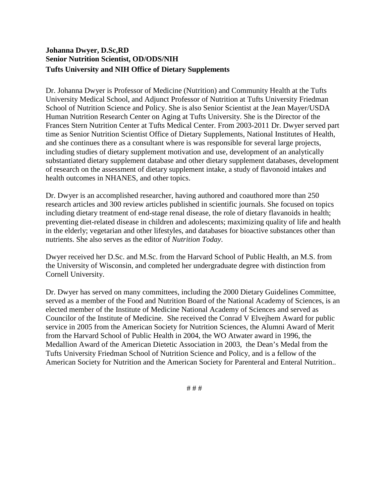# **Johanna Dwyer, D.Sc,RD Senior Nutrition Scientist, OD/ODS/NIH Tufts University and NIH Office of Dietary Supplements**

Dr. Johanna Dwyer is Professor of Medicine (Nutrition) and Community Health at the Tufts University Medical School, and Adjunct Professor of Nutrition at Tufts University Friedman School of Nutrition Science and Policy. She is also Senior Scientist at the Jean Mayer/USDA Human Nutrition Research Center on Aging at Tufts University. She is the Director of the Frances Stern Nutrition Center at Tufts Medical Center. From 2003-2011 Dr. Dwyer served part time as Senior Nutrition Scientist Office of Dietary Supplements, National Institutes of Health, and she continues there as a consultant where is was responsible for several large projects, including studies of dietary supplement motivation and use, development of an analytically substantiated dietary supplement database and other dietary supplement databases, development of research on the assessment of dietary supplement intake, a study of flavonoid intakes and health outcomes in NHANES, and other topics.

Dr. Dwyer is an accomplished researcher, having authored and coauthored more than 250 research articles and 300 review articles published in scientific journals. She focused on topics including dietary treatment of end-stage renal disease, the role of dietary flavanoids in health; preventing diet-related disease in children and adolescents; maximizing quality of life and health in the elderly; vegetarian and other lifestyles, and databases for bioactive substances other than nutrients. She also serves as the editor of *Nutrition Today*.

Dwyer received her D.Sc. and M.Sc. from the Harvard School of Public Health, an M.S. from the University of Wisconsin, and completed her undergraduate degree with distinction from Cornell University.

Dr. Dwyer has served on many committees, including the 2000 Dietary Guidelines Committee, served as a member of the Food and Nutrition Board of the National Academy of Sciences, is an elected member of the Institute of Medicine National Academy of Sciences and served as Councilor of the Institute of Medicine. She received the Conrad V Elvejhem Award for public service in 2005 from the American Society for Nutrition Sciences, the Alumni Award of Merit from the Harvard School of Public Health in 2004, the WO Atwater award in 1996, the Medallion Award of the American Dietetic Association in 2003, the Dean's Medal from the Tufts University Friedman School of Nutrition Science and Policy, and is a fellow of the American Society for Nutrition and the American Society for Parenteral and Enteral Nutrition..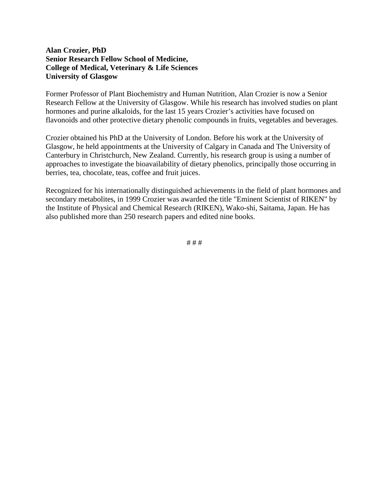## **Alan Crozier, PhD Senior Research Fellow School of Medicine, College of Medical, Veterinary & Life Sciences University of Glasgow**

Former Professor of Plant Biochemistry and Human Nutrition, Alan Crozier is now a Senior Research Fellow at the University of Glasgow. While his research has involved studies on plant hormones and purine alkaloids, for the last 15 years Crozier's activities have focused on flavonoids and other protective dietary phenolic compounds in fruits, vegetables and beverages.

Crozier obtained his PhD at the University of London. Before his work at the University of Glasgow, he held appointments at the University of Calgary in Canada and The University of Canterbury in Christchurch, New Zealand. Currently, his research group is using a number of approaches to investigate the bioavailability of dietary phenolics, principally those occurring in berries, tea, chocolate, teas, coffee and fruit juices.

Recognized for his internationally distinguished achievements in the field of plant hormones and secondary metabolites, in 1999 Crozier was awarded the title "Eminent Scientist of RIKEN" by the Institute of Physical and Chemical Research (RIKEN), Wako-shi, Saitama, Japan. He has also published more than 250 research papers and edited nine books.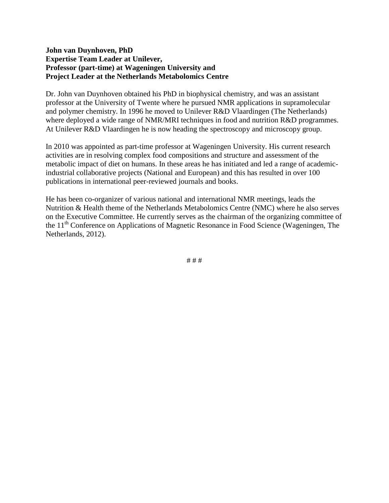## **John van Duynhoven, PhD Expertise Team Leader at Unilever, Professor (part-time) at Wageningen University and Project Leader at the Netherlands Metabolomics Centre**

Dr. John van Duynhoven obtained his PhD in biophysical chemistry, and was an assistant professor at the University of Twente where he pursued NMR applications in supramolecular and polymer chemistry. In 1996 he moved to Unilever R&D Vlaardingen (The Netherlands) where deployed a wide range of NMR/MRI techniques in food and nutrition R&D programmes. At Unilever R&D Vlaardingen he is now heading the spectroscopy and microscopy group.

In 2010 was appointed as part-time professor at Wageningen University. His current research activities are in resolving complex food compositions and structure and assessment of the metabolic impact of diet on humans. In these areas he has initiated and led a range of academicindustrial collaborative projects (National and European) and this has resulted in over 100 publications in international peer-reviewed journals and books.

He has been co-organizer of various national and international NMR meetings, leads the Nutrition & Health theme of the Netherlands Metabolomics Centre (NMC) where he also serves on the Executive Committee. He currently serves as the chairman of the organizing committee of the 11<sup>th</sup> Conference on Applications of Magnetic Resonance in Food Science (Wageningen, The Netherlands, 2012).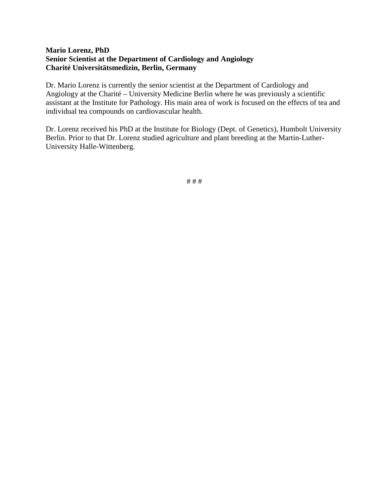# **Mario Lorenz, PhD Senior Scientist at the Department of Cardiology and Angiology Charité Universitätsmedizin, Berlin, Germany**

Dr. Mario Lorenz is currently the senior scientist at the Department of Cardiology and Angiology at the Charité – University Medicine Berlin where he was previously a scientific assistant at the Institute for Pathology. His main area of work is focused on the effects of tea and individual tea compounds on cardiovascular health.

Dr. Lorenz received his PhD at the Institute for Biology (Dept. of Genetics), Humbolt University Berlin. Prior to that Dr. Lorenz studied agriculture and plant breeding at the Martin-Luther-University Halle-Wittenberg.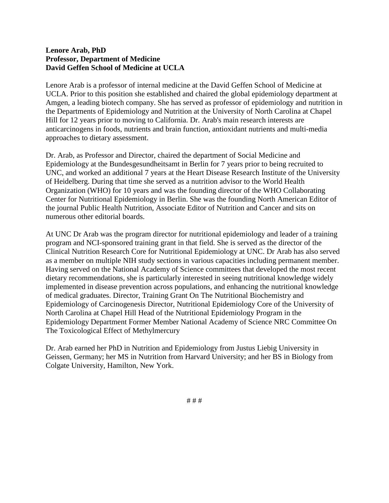## **Lenore Arab, PhD Professor, Department of Medicine David Geffen School of Medicine at UCLA**

Lenore Arab is a professor of internal medicine at the David Geffen School of Medicine at UCLA. Prior to this position she established and chaired the global epidemiology department at Amgen, a leading biotech company. She has served as professor of epidemiology and nutrition in the Departments of Epidemiology and Nutrition at the University of North Carolina at Chapel Hill for 12 years prior to moving to California. Dr. Arab's main research interests are anticarcinogens in foods, nutrients and brain function, antioxidant nutrients and multi-media approaches to dietary assessment.

Dr. Arab, as Professor and Director, chaired the department of Social Medicine and Epidemiology at the Bundesgesundheitsamt in Berlin for 7 years prior to being recruited to UNC, and worked an additional 7 years at the Heart Disease Research Institute of the University of Heidelberg. During that time she served as a nutrition advisor to the World Health Organization (WHO) for 10 years and was the founding director of the WHO Collaborating Center for Nutritional Epidemiology in Berlin. She was the founding North American Editor of the journal Public Health Nutrition, Associate Editor of Nutrition and Cancer and sits on numerous other editorial boards.

At UNC Dr Arab was the program director for nutritional epidemiology and leader of a training program and NCI-sponsored training grant in that field. She is served as the director of the Clinical Nutrition Research Core for Nutritional Epidemiology at UNC. Dr Arab has also served as a member on multiple NIH study sections in various capacities including permanent member. Having served on the National Academy of Science committees that developed the most recent dietary recommendations, she is particularly interested in seeing nutritional knowledge widely implemented in disease prevention across populations, and enhancing the nutritional knowledge of medical graduates. Director, Training Grant On The Nutritional Biochemistry and Epidemiology of Carcinogenesis Director, Nutritional Epidemiology Core of the University of North Carolina at Chapel Hill Head of the Nutritional Epidemiology Program in the Epidemiology Department Former Member National Academy of Science NRC Committee On The Toxicological Effect of Methylmercury

Dr. Arab earned her PhD in Nutrition and Epidemiology from Justus Liebig University in Geissen, Germany; her MS in Nutrition from Harvard University; and her BS in Biology from Colgate University, Hamilton, New York.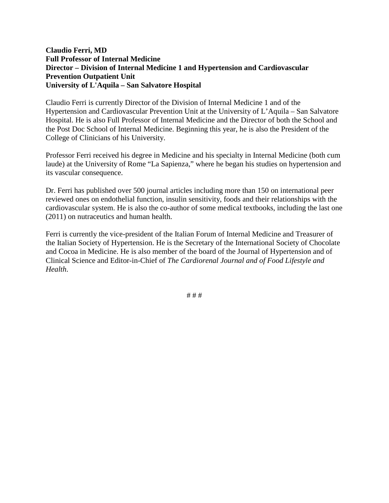## **Claudio Ferri, MD Full Professor of Internal Medicine Director – Division of Internal Medicine 1 and Hypertension and Cardiovascular Prevention Outpatient Unit University of L'Aquila – San Salvatore Hospital**

Claudio Ferri is currently Director of the Division of Internal Medicine 1 and of the Hypertension and Cardiovascular Prevention Unit at the University of L'Aquila – San Salvatore Hospital. He is also Full Professor of Internal Medicine and the Director of both the School and the Post Doc School of Internal Medicine. Beginning this year, he is also the President of the College of Clinicians of his University.

Professor Ferri received his degree in Medicine and his specialty in Internal Medicine (both cum laude) at the University of Rome "La Sapienza," where he began his studies on hypertension and its vascular consequence.

Dr. Ferri has published over 500 journal articles including more than 150 on international peer reviewed ones on endothelial function, insulin sensitivity, foods and their relationships with the cardiovascular system. He is also the co-author of some medical textbooks, including the last one (2011) on nutraceutics and human health.

Ferri is currently the vice-president of the Italian Forum of Internal Medicine and Treasurer of the Italian Society of Hypertension. He is the Secretary of the International Society of Chocolate and Cocoa in Medicine. He is also member of the board of the Journal of Hypertension and of Clinical Science and Editor-in-Chief of *The Cardiorenal Journal and of Food Lifestyle and Health*.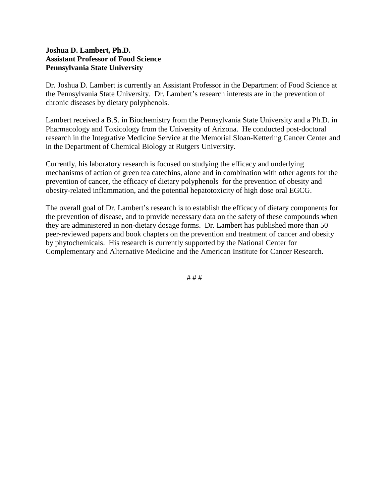# **Joshua D. Lambert, Ph.D. Assistant Professor of Food Science Pennsylvania State University**

Dr. Joshua D. Lambert is currently an Assistant Professor in the Department of Food Science at the Pennsylvania State University. Dr. Lambert's research interests are in the prevention of chronic diseases by dietary polyphenols.

Lambert received a B.S. in Biochemistry from the Pennsylvania State University and a Ph.D. in Pharmacology and Toxicology from the University of Arizona. He conducted post-doctoral research in the Integrative Medicine Service at the Memorial Sloan-Kettering Cancer Center and in the Department of Chemical Biology at Rutgers University.

Currently, his laboratory research is focused on studying the efficacy and underlying mechanisms of action of green tea catechins, alone and in combination with other agents for the prevention of cancer, the efficacy of dietary polyphenols for the prevention of obesity and obesity-related inflammation, and the potential hepatotoxicity of high dose oral EGCG.

The overall goal of Dr. Lambert's research is to establish the efficacy of dietary components for the prevention of disease, and to provide necessary data on the safety of these compounds when they are administered in non-dietary dosage forms. Dr. Lambert has published more than 50 peer-reviewed papers and book chapters on the prevention and treatment of cancer and obesity by phytochemicals. His research is currently supported by the National Center for Complementary and Alternative Medicine and the American Institute for Cancer Research.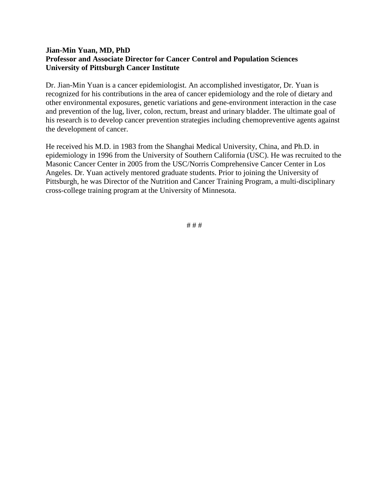# **Jian-Min Yuan, MD, PhD Professor and Associate Director for Cancer Control and Population Sciences University of Pittsburgh Cancer Institute**

Dr. Jian-Min Yuan is a cancer epidemiologist. An accomplished investigator, Dr. Yuan is recognized for his contributions in the area of cancer epidemiology and the role of dietary and other environmental exposures, genetic variations and gene-environment interaction in the case and prevention of the lug, liver, colon, rectum, breast and urinary bladder. The ultimate goal of his research is to develop cancer prevention strategies including chemopreventive agents against the development of cancer.

He received his M.D. in 1983 from the Shanghai Medical University, China, and Ph.D. in epidemiology in 1996 from the University of Southern California (USC). He was recruited to the Masonic Cancer Center in 2005 from the USC/Norris Comprehensive Cancer Center in Los Angeles. Dr. Yuan actively mentored graduate students. Prior to joining the University of Pittsburgh, he was Director of the Nutrition and Cancer Training Program, a multi-disciplinary cross-college training program at the University of Minnesota.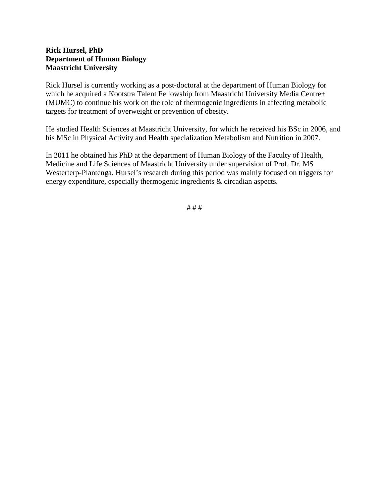# **Rick Hursel, PhD Department of Human Biology Maastricht University**

Rick Hursel is currently working as a post-doctoral at the department of Human Biology for which he acquired a Kootstra Talent Fellowship from Maastricht University Media Centre+ (MUMC) to continue his work on the role of thermogenic ingredients in affecting metabolic targets for treatment of overweight or prevention of obesity.

He studied Health Sciences at Maastricht University, for which he received his BSc in 2006, and his MSc in Physical Activity and Health specialization Metabolism and Nutrition in 2007.

In 2011 he obtained his PhD at the department of Human Biology of the Faculty of Health, Medicine and Life Sciences of Maastricht University under supervision of Prof. Dr. MS Westerterp-Plantenga. Hursel's research during this period was mainly focused on triggers for energy expenditure, especially thermogenic ingredients & circadian aspects.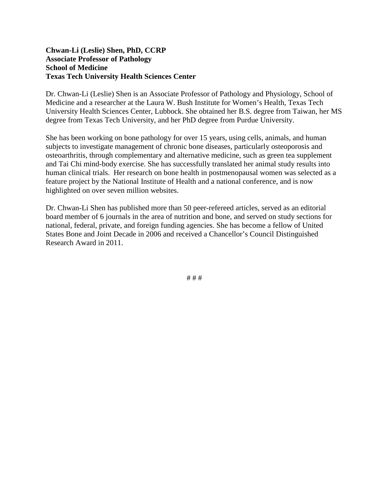#### **Chwan-Li (Leslie) Shen, PhD, CCRP Associate Professor of Pathology School of Medicine Texas Tech University Health Sciences Center**

Dr. Chwan-Li (Leslie) Shen is an Associate Professor of Pathology and Physiology, School of Medicine and a researcher at the Laura W. Bush Institute for Women's Health, Texas Tech University Health Sciences Center, Lubbock. She obtained her B.S. degree from Taiwan, her MS degree from Texas Tech University, and her PhD degree from Purdue University.

She has been working on bone pathology for over 15 years, using cells, animals, and human subjects to investigate management of chronic bone diseases, particularly osteoporosis and osteoarthritis, through complementary and alternative medicine, such as green tea supplement and Tai Chi mind-body exercise. She has successfully translated her animal study results into human clinical trials. Her research on bone health in postmenopausal women was selected as a feature project by the National Institute of Health and a national conference, and is now highlighted on over seven million websites.

Dr. Chwan-Li Shen has published more than 50 peer-refereed articles, served as an editorial board member of 6 journals in the area of nutrition and bone, and served on study sections for national, federal, private, and foreign funding agencies. She has become a fellow of United States Bone and Joint Decade in 2006 and received a Chancellor's Council Distinguished Research Award in 2011.